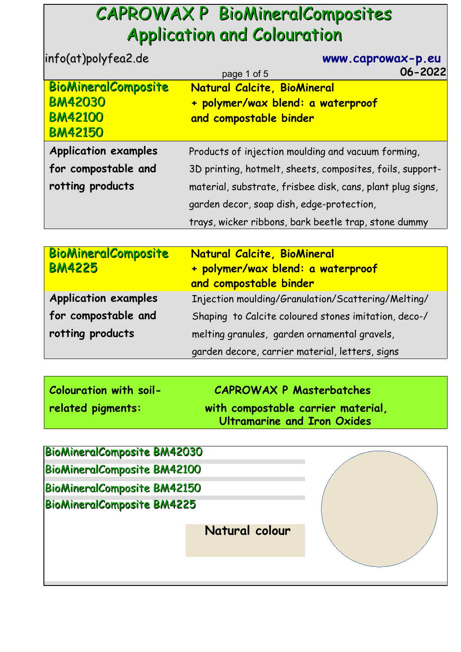## CAPROWAX P BioMineralComposites Application and Colouration

| info(at)polyfea2.de         | www.caprowax-p.eu                                          |
|-----------------------------|------------------------------------------------------------|
|                             | $06 - 2022$<br>page 1 of 5                                 |
| <b>BioMineralComposite</b>  | Natural Calcite, BioMineral                                |
| <b>BM42030</b>              | + polymer/wax blend: a waterproof                          |
| <b>BM42100</b>              | and compostable binder                                     |
| <b>BM42150</b>              |                                                            |
| <b>Application examples</b> | Products of injection moulding and vacuum forming,         |
| for compostable and         | 3D printing, hotmelt, sheets, composites, foils, support-  |
| rotting products            | material, substrate, frisbee disk, cans, plant plug signs, |
|                             | garden decor, soap dish, edge-protection,                  |
|                             | trays, wicker ribbons, bark beetle trap, stone dummy       |

| <b>BioMineralComposite</b><br><b>BM4225</b> | Natural Calcite, BioMineral<br>+ polymer/wax blend: a waterproof<br>and compostable binder |
|---------------------------------------------|--------------------------------------------------------------------------------------------|
| <b>Application examples</b>                 | Injection moulding/Granulation/Scattering/Melting/                                         |
| for compostable and                         | Shaping to Calcite coloured stones imitation, deco-/                                       |
| rotting products                            | melting granules, garden ornamental gravels,                                               |
|                                             | garden decore, carrier material, letters, signs                                            |

| Colouration with soil- | <b>CAPROWAX P Masterbatches</b>                                   |
|------------------------|-------------------------------------------------------------------|
| related pigments:      | with compostable carrier material,<br>Ultramarine and Iron Oxides |

| <b>BioMineralComposite BM42030</b> |                |  |
|------------------------------------|----------------|--|
| <b>BioMineralComposite BM42100</b> |                |  |
| <b>BioMineralComposite BM42150</b> |                |  |
| <b>BioMineralComposite BM4225</b>  |                |  |
|                                    |                |  |
|                                    | Natural colour |  |
|                                    |                |  |
|                                    |                |  |
|                                    |                |  |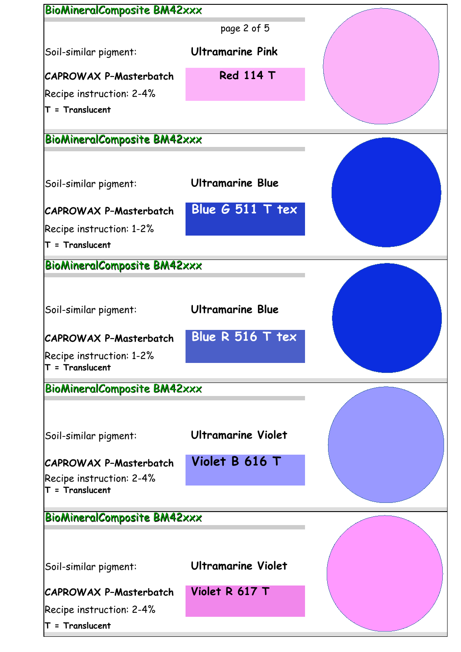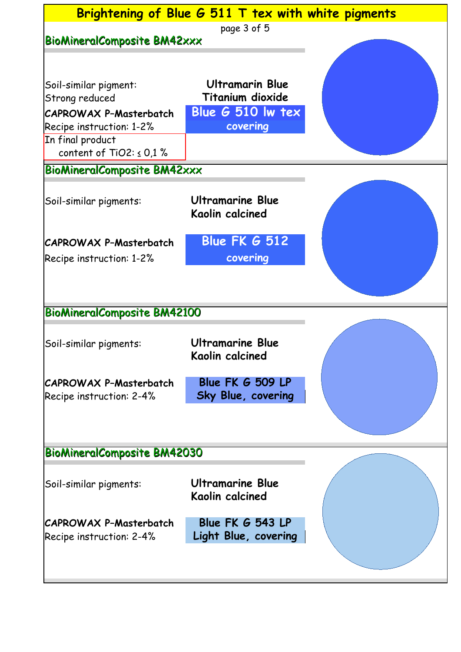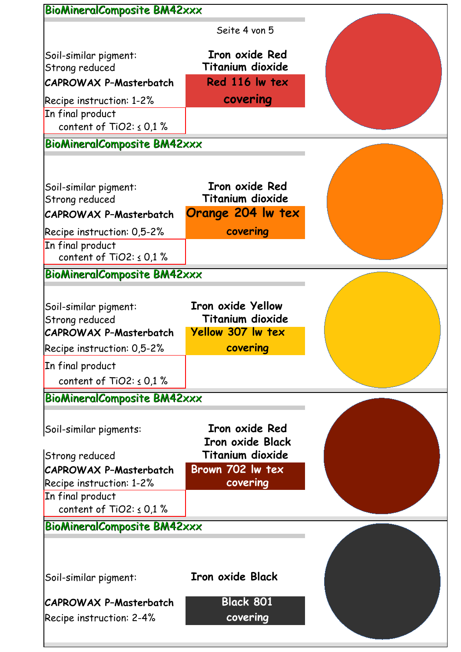| <b>BioMineralComposite BM42xxx</b>                                                                     |                                                                                      |  |
|--------------------------------------------------------------------------------------------------------|--------------------------------------------------------------------------------------|--|
|                                                                                                        | Seite 4 von 5                                                                        |  |
| Soil-similar pigment:<br>Strong reduced                                                                | Iron oxide Red<br>Titanium dioxide                                                   |  |
| <b>CAPROWAX P-Masterbatch</b>                                                                          | Red 116 lw tex                                                                       |  |
| Recipe instruction: $1-2\%$<br>In final product<br>content of TiO2: $\leq$ 0,1 %                       | covering                                                                             |  |
| <b>BioMineralComposite BM42xxx</b>                                                                     |                                                                                      |  |
| Soil-similar pigment:<br>Strong reduced                                                                | Iron oxide Red<br><b>Titanium dioxide</b>                                            |  |
| <b>CAPROWAX P-Masterbatch</b>                                                                          | Orange 204 Iw tex                                                                    |  |
| Recipe instruction: 0,5-2%                                                                             | covering                                                                             |  |
| In final product<br>content of TiO2: $\leq$ 0,1 %                                                      |                                                                                      |  |
| <b>BioMineralComposite BM42xxx</b>                                                                     |                                                                                      |  |
| Soil-similar pigment:<br>Strong reduced<br><b>CAPROWAX P-Masterbatch</b><br>Recipe instruction: 0,5-2% | <b>Iron oxide Yellow</b><br><b>Titanium dioxide</b><br>Yellow 307 lw tex<br>covering |  |
| In final product                                                                                       |                                                                                      |  |
| content of TiO2: $\leq$ 0.1 %                                                                          |                                                                                      |  |
| <b>BioMineralComposite BM42xxx</b>                                                                     |                                                                                      |  |
| Soil-similar pigments:<br>Strong reduced                                                               | <b>Iron oxide Red</b><br><b>Iron oxide Black</b><br>Titanium dioxide                 |  |
| <b>CAPROWAX P-Masterbatch</b>                                                                          | Brown 702 lw tex                                                                     |  |
| Recipe instruction: 1-2%                                                                               | covering                                                                             |  |
| In final product<br>content of TiO2: $\leq$ 0.1 %                                                      |                                                                                      |  |
| <b>BioMineralComposite BM42xxx</b>                                                                     |                                                                                      |  |
|                                                                                                        |                                                                                      |  |
| Soil-similar pigment:                                                                                  | <b>Iron oxide Black</b>                                                              |  |
| CAPROWAX P-Masterbatch<br>Recipe instruction: 2-4%                                                     | <b>Black 801</b><br>covering                                                         |  |